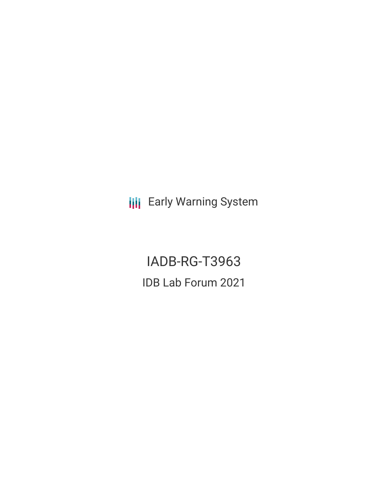**III** Early Warning System

IADB-RG-T3963 IDB Lab Forum 2021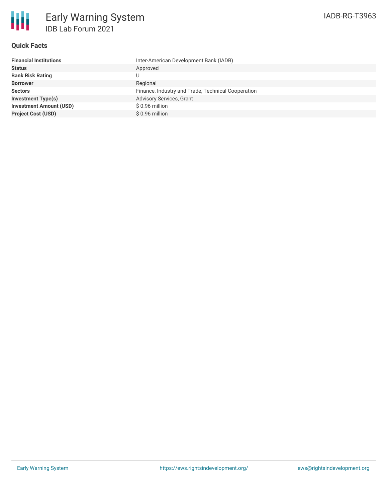

### **Quick Facts**

| <b>Financial Institutions</b>  | Inter-American Development Bank (IADB)             |
|--------------------------------|----------------------------------------------------|
| <b>Status</b>                  | Approved                                           |
| <b>Bank Risk Rating</b>        |                                                    |
| <b>Borrower</b>                | Regional                                           |
| <b>Sectors</b>                 | Finance, Industry and Trade, Technical Cooperation |
| <b>Investment Type(s)</b>      | Advisory Services, Grant                           |
| <b>Investment Amount (USD)</b> | \$0.96 million                                     |
| <b>Project Cost (USD)</b>      | $$0.96$ million                                    |
|                                |                                                    |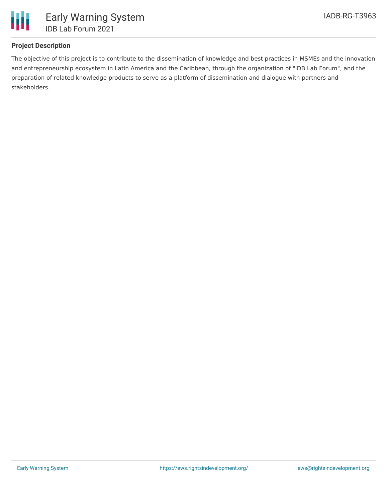

# **Project Description**

The objective of this project is to contribute to the dissemination of knowledge and best practices in MSMEs and the innovation and entrepreneurship ecosystem in Latin America and the Caribbean, through the organization of "IDB Lab Forum", and the preparation of related knowledge products to serve as a platform of dissemination and dialogue with partners and stakeholders.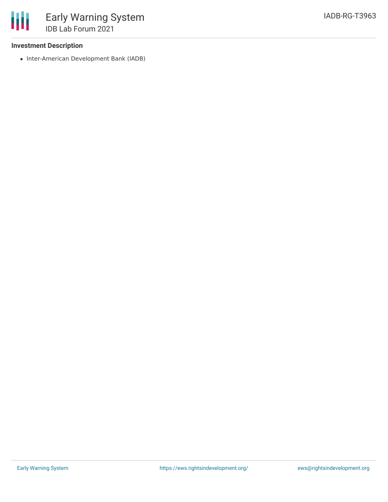## **Investment Description**

• Inter-American Development Bank (IADB)